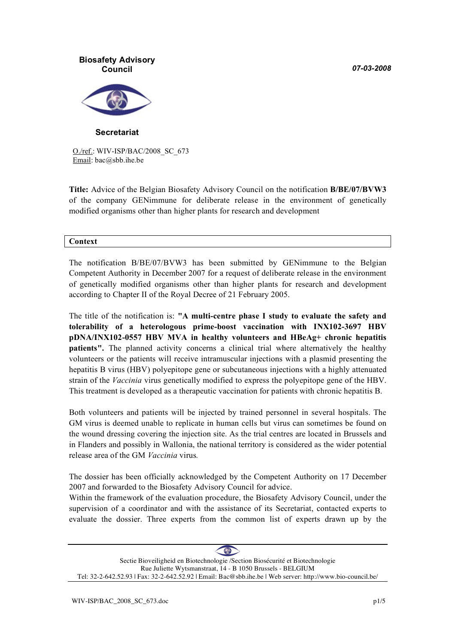*07-03-2008*



**Secretariat**

O./ref.: WIV-ISP/BAC/2008\_SC\_673 Email: bac@sbb.ihe.be

**Title:** Advice of the Belgian Biosafety Advisory Council on the notification **B/BE/07/BVW3** of the company GENimmune for deliberate release in the environment of genetically modified organisms other than higher plants for research and development

#### **Context**

The notification B/BE/07/BVW3 has been submitted by GENimmune to the Belgian Competent Authority in December 2007 for a request of deliberate release in the environment of genetically modified organisms other than higher plants for research and development according to Chapter II of the Royal Decree of 21 February 2005.

The title of the notification is: **"A multi-centre phase I study to evaluate the safety and tolerability of a heterologous prime-boost vaccination with INX102-3697 HBV pDNA/INX102-0557 HBV MVA in healthy volunteers and HBeAg+ chronic hepatitis patients".** The planned activity concerns a clinical trial where alternatively the healthy volunteers or the patients will receive intramuscular injections with a plasmid presenting the hepatitis B virus (HBV) polyepitope gene or subcutaneous injections with a highly attenuated strain of the *Vaccinia* virus genetically modified to express the polyepitope gene of the HBV. This treatment is developed as a therapeutic vaccination for patients with chronic hepatitis B.

Both volunteers and patients will be injected by trained personnel in several hospitals. The GM virus is deemed unable to replicate in human cells but virus can sometimes be found on the wound dressing covering the injection site. As the trial centres are located in Brussels and in Flanders and possibly in Wallonia, the national territory is considered as the wider potential release area of the GM *Vaccinia* virus*.*

The dossier has been officially acknowledged by the Competent Authority on 17 December 2007 and forwarded to the Biosafety Advisory Council for advice.

Within the framework of the evaluation procedure, the Biosafety Advisory Council, under the supervision of a coordinator and with the assistance of its Secretariat, contacted experts to evaluate the dossier. Three experts from the common list of experts drawn up by the

 $\bigoplus$ Sectie Bioveiligheid en Biotechnologie /Section Biosécurité et Biotechnologie Rue Juliette Wytsmanstraat, 14 - B 1050 Brussels - BELGIUM Tel: 32-2-642.52.93 | Fax: 32-2-642.52.92 | Email: Bac@sbb.ihe.be | Web server: http://www.bio-council.be/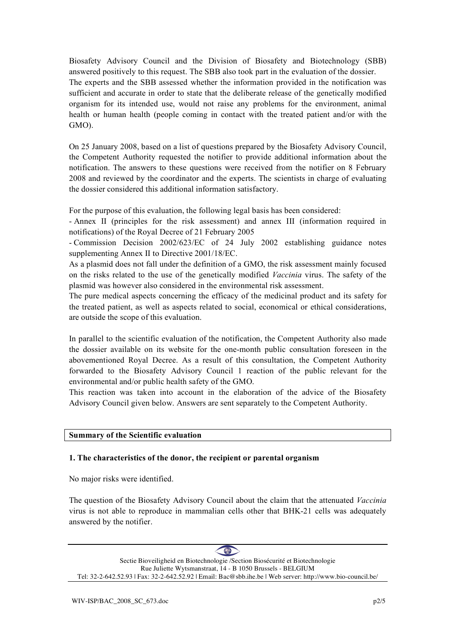Biosafety Advisory Council and the Division of Biosafety and Biotechnology (SBB) answered positively to this request. The SBB also took part in the evaluation of the dossier. The experts and the SBB assessed whether the information provided in the notification was sufficient and accurate in order to state that the deliberate release of the genetically modified organism for its intended use, would not raise any problems for the environment, animal health or human health (people coming in contact with the treated patient and/or with the GMO).

On 25 January 2008, based on a list of questions prepared by the Biosafety Advisory Council, the Competent Authority requested the notifier to provide additional information about the notification. The answers to these questions were received from the notifier on 8 February 2008 and reviewed by the coordinator and the experts. The scientists in charge of evaluating the dossier considered this additional information satisfactory.

For the purpose of this evaluation, the following legal basis has been considered:

- Annex II (principles for the risk assessment) and annex III (information required in notifications) of the Royal Decree of 21 February 2005

- Commission Decision 2002/623/EC of 24 July 2002 establishing guidance notes supplementing Annex II to Directive 2001/18/EC.

As a plasmid does not fall under the definition of a GMO, the risk assessment mainly focused on the risks related to the use of the genetically modified *Vaccinia* virus. The safety of the plasmid was however also considered in the environmental risk assessment.

The pure medical aspects concerning the efficacy of the medicinal product and its safety for the treated patient, as well as aspects related to social, economical or ethical considerations, are outside the scope of this evaluation.

In parallel to the scientific evaluation of the notification, the Competent Authority also made the dossier available on its website for the one-month public consultation foreseen in the abovementioned Royal Decree. As a result of this consultation, the Competent Authority forwarded to the Biosafety Advisory Council 1 reaction of the public relevant for the environmental and/or public health safety of the GMO.

This reaction was taken into account in the elaboration of the advice of the Biosafety Advisory Council given below. Answers are sent separately to the Competent Authority.

#### **Summary of the Scientific evaluation**

#### **1. The characteristics of the donor, the recipient or parental organism**

No major risks were identified.

The question of the Biosafety Advisory Council about the claim that the attenuated *Vaccinia* virus is not able to reproduce in mammalian cells other that BHK-21 cells was adequately answered by the notifier.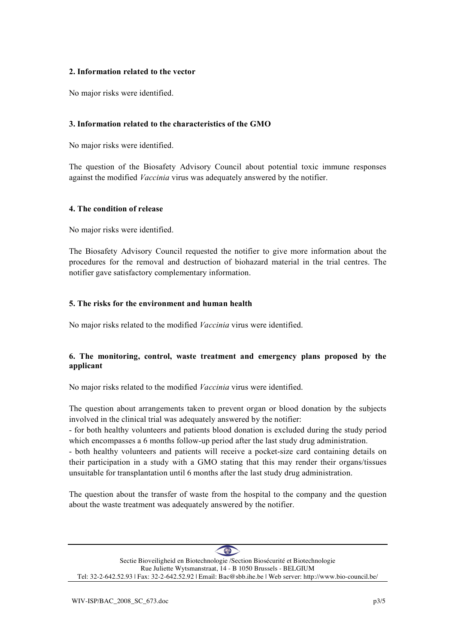#### **2. Information related to the vector**

No major risks were identified.

#### **3. Information related to the characteristics of the GMO**

No major risks were identified.

The question of the Biosafety Advisory Council about potential toxic immune responses against the modified *Vaccinia* virus was adequately answered by the notifier.

#### **4. The condition of release**

No major risks were identified.

The Biosafety Advisory Council requested the notifier to give more information about the procedures for the removal and destruction of biohazard material in the trial centres. The notifier gave satisfactory complementary information.

#### **5. The risks for the environment and human health**

No major risks related to the modified *Vaccinia* virus were identified.

## **6. The monitoring, control, waste treatment and emergency plans proposed by the applicant**

No major risks related to the modified *Vaccinia* virus were identified.

The question about arrangements taken to prevent organ or blood donation by the subjects involved in the clinical trial was adequately answered by the notifier:

- for both healthy volunteers and patients blood donation is excluded during the study period which encompasses a 6 months follow-up period after the last study drug administration.

- both healthy volunteers and patients will receive a pocket-size card containing details on their participation in a study with a GMO stating that this may render their organs/tissues unsuitable for transplantation until 6 months after the last study drug administration.

The question about the transfer of waste from the hospital to the company and the question about the waste treatment was adequately answered by the notifier.

 $\left( 0\right)$ Sectie Bioveiligheid en Biotechnologie /Section Biosécurité et Biotechnologie Rue Juliette Wytsmanstraat, 14 - B 1050 Brussels - BELGIUM Tel: 32-2-642.52.93 | Fax: 32-2-642.52.92 | Email: Bac@sbb.ihe.be | Web server: http://www.bio-council.be/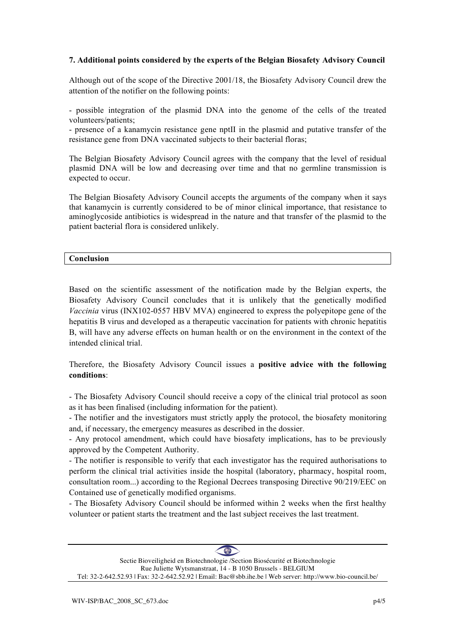#### **7. Additional points considered by the experts of the Belgian Biosafety Advisory Council**

Although out of the scope of the Directive 2001/18, the Biosafety Advisory Council drew the attention of the notifier on the following points:

- possible integration of the plasmid DNA into the genome of the cells of the treated volunteers/patients;

- presence of a kanamycin resistance gene nptII in the plasmid and putative transfer of the resistance gene from DNA vaccinated subjects to their bacterial floras;

The Belgian Biosafety Advisory Council agrees with the company that the level of residual plasmid DNA will be low and decreasing over time and that no germline transmission is expected to occur.

The Belgian Biosafety Advisory Council accepts the arguments of the company when it says that kanamycin is currently considered to be of minor clinical importance, that resistance to aminoglycoside antibiotics is widespread in the nature and that transfer of the plasmid to the patient bacterial flora is considered unlikely.

#### **Conclusion**

Based on the scientific assessment of the notification made by the Belgian experts, the Biosafety Advisory Council concludes that it is unlikely that the genetically modified *Vaccinia* virus (INX102-0557 HBV MVA) engineered to express the polyepitope gene of the hepatitis B virus and developed as a therapeutic vaccination for patients with chronic hepatitis B, will have any adverse effects on human health or on the environment in the context of the intended clinical trial.

Therefore, the Biosafety Advisory Council issues a **positive advice with the following conditions**:

- The Biosafety Advisory Council should receive a copy of the clinical trial protocol as soon as it has been finalised (including information for the patient).

- The notifier and the investigators must strictly apply the protocol, the biosafety monitoring and, if necessary, the emergency measures as described in the dossier.

- Any protocol amendment, which could have biosafety implications, has to be previously approved by the Competent Authority.

- The notifier is responsible to verify that each investigator has the required authorisations to perform the clinical trial activities inside the hospital (laboratory, pharmacy, hospital room, consultation room...) according to the Regional Decrees transposing Directive 90/219/EEC on Contained use of genetically modified organisms.

- The Biosafety Advisory Council should be informed within 2 weeks when the first healthy volunteer or patient starts the treatment and the last subject receives the last treatment.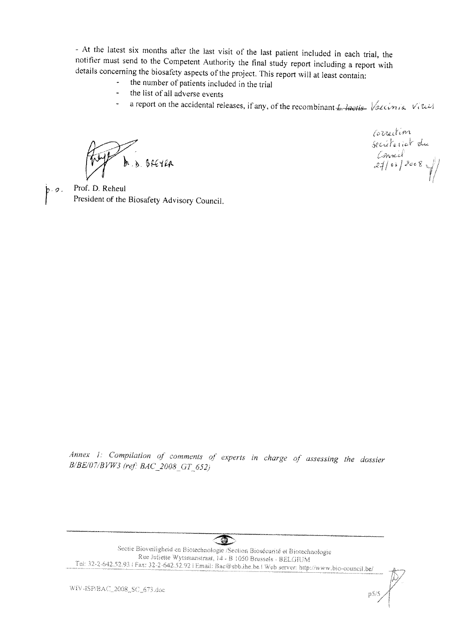- At the latest six months after the last visit of the last patient included in each trial, the notifier must send to the Competent Authority the final study report including a report with details concerning the biosafety aspects of the project. This report will at least contain:

- the number of patients included in the trial
- the list of all adverse events
- a report on the accidental releases, if any, of the recombinant *L. laetis-* Vallin Vital

 $h_{b}$ , skever

Correction<br>secrétariat du<br>27/03/2008/

Prof. D. Reheul President of the Biosafety Advisory Council.

Annex 1: Compilation of comments of experts in charge of assessing the dossier B/BE/07/BVW3 (ref: BAC\_2008\_GT\_652)

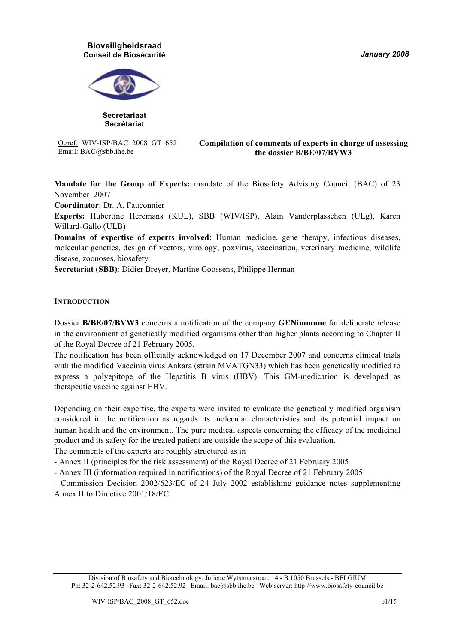*January 2008*

### **Bioveiligheidsraad Conseil de Biosécurité**



**Secretariaat Secrétariat**

O./ref.: WIV-ISP/BAC\_2008\_GT\_652 Email: BAC@sbb.ihe.be

#### **Compilation of comments of experts in charge of assessing the dossier B/BE/07/BVW3**

**Mandate for the Group of Experts:** mandate of the Biosafety Advisory Council (BAC) of 23 November 2007

**Coordinator**: Dr. A. Fauconnier

**Experts:** Hubertine Heremans (KUL), SBB (WIV/ISP), Alain Vanderplasschen (ULg), Karen Willard-Gallo (ULB)

**Domains of expertise of experts involved:** Human medicine, gene therapy, infectious diseases, molecular genetics, design of vectors, virology, poxvirus, vaccination, veterinary medicine, wildlife disease, zoonoses, biosafety

**Secretariat (SBB)**: Didier Breyer, Martine Goossens, Philippe Herman

#### **INTRODUCTION**

Dossier **B/BE/07/BVW3** concerns a notification of the company **GENimmune** for deliberate release in the environment of genetically modified organisms other than higher plants according to Chapter II of the Royal Decree of 21 February 2005.

The notification has been officially acknowledged on 17 December 2007 and concerns clinical trials with the modified Vaccinia virus Ankara (strain MVATGN33) which has been genetically modified to express a polyepitope of the Hepatitis B virus (HBV). This GM-medication is developed as therapeutic vaccine against HBV.

Depending on their expertise, the experts were invited to evaluate the genetically modified organism considered in the notification as regards its molecular characteristics and its potential impact on human health and the environment. The pure medical aspects concerning the efficacy of the medicinal product and its safety for the treated patient are outside the scope of this evaluation.

The comments of the experts are roughly structured as in

- Annex II (principles for the risk assessment) of the Royal Decree of 21 February 2005

- Annex III (information required in notifications) of the Royal Decree of 21 February 2005

- Commission Decision 2002/623/EC of 24 July 2002 establishing guidance notes supplementing Annex II to Directive 2001/18/EC.

Division of Biosafety and Biotechnology, Juliette Wytsmanstraat, 14 - B 1050 Brussels - BELGIUM Ph: 32-2-642.52.93 | Fax: 32-2-642.52.92 | Email: bac@sbb.ihe.be | Web server: http://www.biosafety-council.be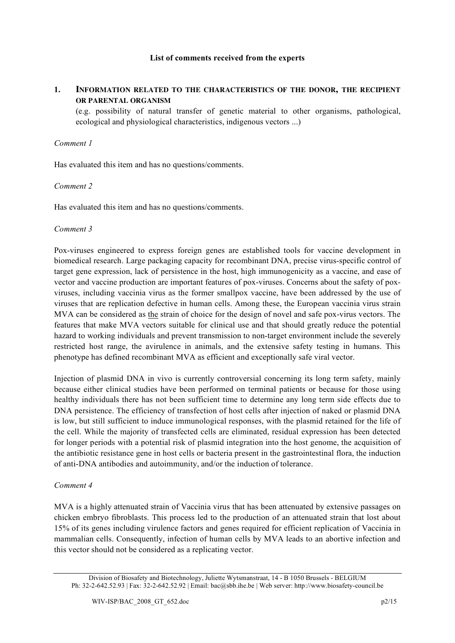#### **List of comments received from the experts**

### **1. INFORMATION RELATED TO THE CHARACTERISTICS OF THE DONOR, THE RECIPIENT OR PARENTAL ORGANISM**

(e.g. possibility of natural transfer of genetic material to other organisms, pathological, ecological and physiological characteristics, indigenous vectors ...)

#### *Comment 1*

Has evaluated this item and has no questions/comments.

#### *Comment 2*

Has evaluated this item and has no questions/comments.

#### *Comment 3*

Pox-viruses engineered to express foreign genes are established tools for vaccine development in biomedical research. Large packaging capacity for recombinant DNA, precise virus-specific control of target gene expression, lack of persistence in the host, high immunogenicity as a vaccine, and ease of vector and vaccine production are important features of pox-viruses. Concerns about the safety of poxviruses, including vaccinia virus as the former smallpox vaccine, have been addressed by the use of viruses that are replication defective in human cells. Among these, the European vaccinia virus strain MVA can be considered as the strain of choice for the design of novel and safe pox-virus vectors. The features that make MVA vectors suitable for clinical use and that should greatly reduce the potential hazard to working individuals and prevent transmission to non-target environment include the severely restricted host range, the avirulence in animals, and the extensive safety testing in humans. This phenotype has defined recombinant MVA as efficient and exceptionally safe viral vector.

Injection of plasmid DNA in vivo is currently controversial concerning its long term safety, mainly because either clinical studies have been performed on terminal patients or because for those using healthy individuals there has not been sufficient time to determine any long term side effects due to DNA persistence. The efficiency of transfection of host cells after injection of naked or plasmid DNA is low, but still sufficient to induce immunological responses, with the plasmid retained for the life of the cell. While the majority of transfected cells are eliminated, residual expression has been detected for longer periods with a potential risk of plasmid integration into the host genome, the acquisition of the antibiotic resistance gene in host cells or bacteria present in the gastrointestinal flora, the induction of anti-DNA antibodies and autoimmunity, and/or the induction of tolerance.

#### *Comment 4*

MVA is a highly attenuated strain of Vaccinia virus that has been attenuated by extensive passages on chicken embryo fibroblasts. This process led to the production of an attenuated strain that lost about 15% of its genes including virulence factors and genes required for efficient replication of Vaccinia in mammalian cells. Consequently, infection of human cells by MVA leads to an abortive infection and this vector should not be considered as a replicating vector.

Division of Biosafety and Biotechnology, Juliette Wytsmanstraat, 14 - B 1050 Brussels - BELGIUM Ph: 32-2-642.52.93 | Fax: 32-2-642.52.92 | Email: bac@sbb.ihe.be | Web server: http://www.biosafety-council.be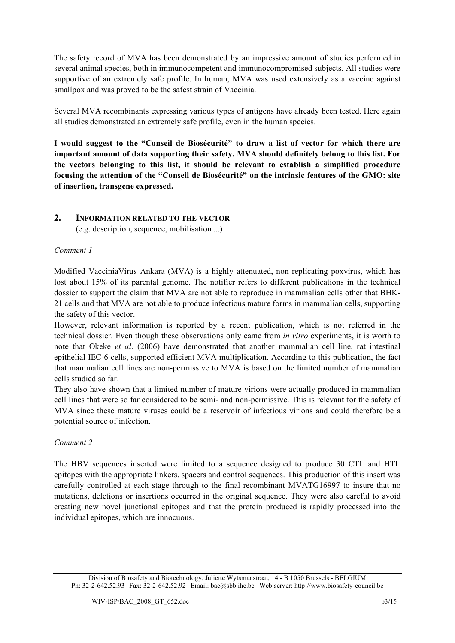The safety record of MVA has been demonstrated by an impressive amount of studies performed in several animal species, both in immunocompetent and immunocompromised subjects. All studies were supportive of an extremely safe profile. In human, MVA was used extensively as a vaccine against smallpox and was proved to be the safest strain of Vaccinia.

Several MVA recombinants expressing various types of antigens have already been tested. Here again all studies demonstrated an extremely safe profile, even in the human species.

**I would suggest to the "Conseil de Biosécurité" to draw a list of vector for which there are important amount of data supporting their safety. MVA should definitely belong to this list. For the vectors belonging to this list, it should be relevant to establish a simplified procedure focusing the attention of the "Conseil de Biosécurité" on the intrinsic features of the GMO: site of insertion, transgene expressed.**

## **2. INFORMATION RELATED TO THE VECTOR**

(e.g. description, sequence, mobilisation ...)

#### *Comment 1*

Modified VacciniaVirus Ankara (MVA) is a highly attenuated, non replicating poxvirus, which has lost about 15% of its parental genome. The notifier refers to different publications in the technical dossier to support the claim that MVA are not able to reproduce in mammalian cells other that BHK-21 cells and that MVA are not able to produce infectious mature forms in mammalian cells, supporting the safety of this vector.

However, relevant information is reported by a recent publication, which is not referred in the technical dossier. Even though these observations only came from *in vitro* experiments, it is worth to note that Okeke *et al*. (2006) have demonstrated that another mammalian cell line, rat intestinal epithelial IEC-6 cells, supported efficient MVA multiplication. According to this publication, the fact that mammalian cell lines are non-permissive to MVA is based on the limited number of mammalian cells studied so far.

They also have shown that a limited number of mature virions were actually produced in mammalian cell lines that were so far considered to be semi- and non-permissive. This is relevant for the safety of MVA since these mature viruses could be a reservoir of infectious virions and could therefore be a potential source of infection.

## *Comment 2*

The HBV sequences inserted were limited to a sequence designed to produce 30 CTL and HTL epitopes with the appropriate linkers, spacers and control sequences. This production of this insert was carefully controlled at each stage through to the final recombinant MVATG16997 to insure that no mutations, deletions or insertions occurred in the original sequence. They were also careful to avoid creating new novel junctional epitopes and that the protein produced is rapidly processed into the individual epitopes, which are innocuous.

Division of Biosafety and Biotechnology, Juliette Wytsmanstraat, 14 - B 1050 Brussels - BELGIUM Ph: 32-2-642.52.93 | Fax: 32-2-642.52.92 | Email: bac@sbb.ihe.be | Web server: http://www.biosafety-council.be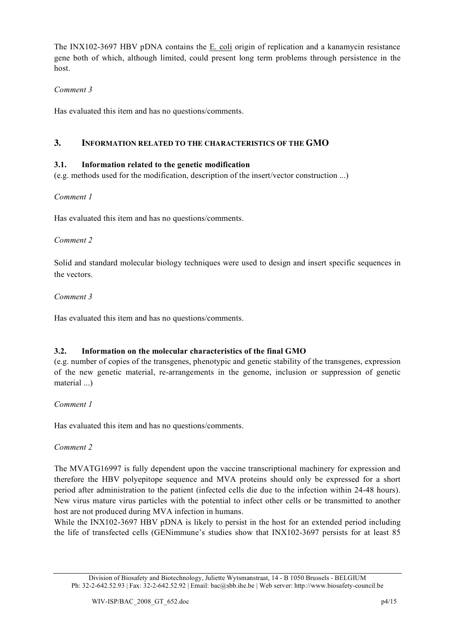The INX102-3697 HBV pDNA contains the E. coli origin of replication and a kanamycin resistance gene both of which, although limited, could present long term problems through persistence in the host.

# *Comment 3*

Has evaluated this item and has no questions/comments.

# **3. INFORMATION RELATED TO THE CHARACTERISTICS OF THE GMO**

## **3.1. Information related to the genetic modification**

(e.g. methods used for the modification, description of the insert/vector construction ...)

## *Comment 1*

Has evaluated this item and has no questions/comments.

#### *Comment 2*

Solid and standard molecular biology techniques were used to design and insert specific sequences in the vectors.

## *Comment 3*

Has evaluated this item and has no questions/comments.

## **3.2. Information on the molecular characteristics of the final GMO**

(e.g. number of copies of the transgenes, phenotypic and genetic stability of the transgenes, expression of the new genetic material, re-arrangements in the genome, inclusion or suppression of genetic material ...)

## *Comment 1*

Has evaluated this item and has no questions/comments.

## *Comment 2*

The MVATG16997 is fully dependent upon the vaccine transcriptional machinery for expression and therefore the HBV polyepitope sequence and MVA proteins should only be expressed for a short period after administration to the patient (infected cells die due to the infection within 24-48 hours). New virus mature virus particles with the potential to infect other cells or be transmitted to another host are not produced during MVA infection in humans.

While the INX102-3697 HBV pDNA is likely to persist in the host for an extended period including the life of transfected cells (GENimmune's studies show that INX102-3697 persists for at least 85

Division of Biosafety and Biotechnology, Juliette Wytsmanstraat, 14 - B 1050 Brussels - BELGIUM Ph: 32-2-642.52.93 | Fax: 32-2-642.52.92 | Email: bac@sbb.ihe.be | Web server: http://www.biosafety-council.be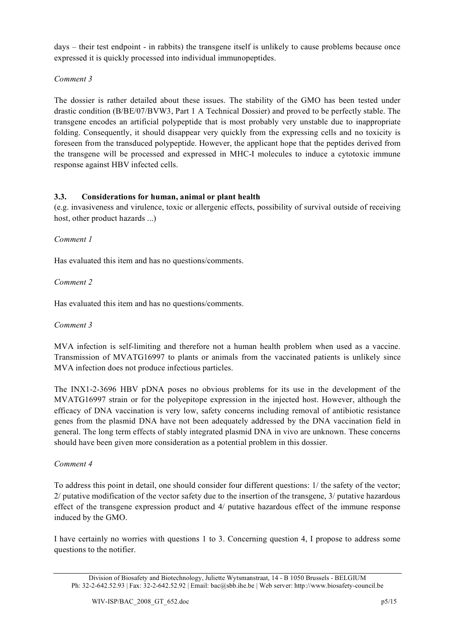days – their test endpoint - in rabbits) the transgene itself is unlikely to cause problems because once expressed it is quickly processed into individual immunopeptides.

# *Comment 3*

The dossier is rather detailed about these issues. The stability of the GMO has been tested under drastic condition (B/BE/07/BVW3, Part 1 A Technical Dossier) and proved to be perfectly stable. The transgene encodes an artificial polypeptide that is most probably very unstable due to inappropriate folding. Consequently, it should disappear very quickly from the expressing cells and no toxicity is foreseen from the transduced polypeptide. However, the applicant hope that the peptides derived from the transgene will be processed and expressed in MHC-I molecules to induce a cytotoxic immune response against HBV infected cells.

# **3.3. Considerations for human, animal or plant health**

(e.g. invasiveness and virulence, toxic or allergenic effects, possibility of survival outside of receiving host, other product hazards ...)

## *Comment 1*

Has evaluated this item and has no questions/comments.

# *Comment 2*

Has evaluated this item and has no questions/comments.

## *Comment 3*

MVA infection is self-limiting and therefore not a human health problem when used as a vaccine. Transmission of MVATG16997 to plants or animals from the vaccinated patients is unlikely since MVA infection does not produce infectious particles.

The INX1-2-3696 HBV pDNA poses no obvious problems for its use in the development of the MVATG16997 strain or for the polyepitope expression in the injected host. However, although the efficacy of DNA vaccination is very low, safety concerns including removal of antibiotic resistance genes from the plasmid DNA have not been adequately addressed by the DNA vaccination field in general. The long term effects of stably integrated plasmid DNA in vivo are unknown. These concerns should have been given more consideration as a potential problem in this dossier.

## *Comment 4*

To address this point in detail, one should consider four different questions: 1/ the safety of the vector; 2/ putative modification of the vector safety due to the insertion of the transgene, 3/ putative hazardous effect of the transgene expression product and 4/ putative hazardous effect of the immune response induced by the GMO.

I have certainly no worries with questions 1 to 3. Concerning question 4, I propose to address some questions to the notifier.

Division of Biosafety and Biotechnology, Juliette Wytsmanstraat, 14 - B 1050 Brussels - BELGIUM Ph: 32-2-642.52.93 | Fax: 32-2-642.52.92 | Email: bac@sbb.ihe.be | Web server: http://www.biosafety-council.be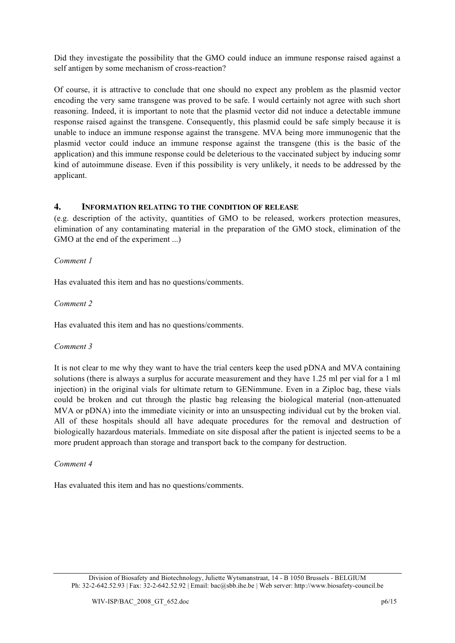Did they investigate the possibility that the GMO could induce an immune response raised against a self antigen by some mechanism of cross-reaction?

Of course, it is attractive to conclude that one should no expect any problem as the plasmid vector encoding the very same transgene was proved to be safe. I would certainly not agree with such short reasoning. Indeed, it is important to note that the plasmid vector did not induce a detectable immune response raised against the transgene. Consequently, this plasmid could be safe simply because it is unable to induce an immune response against the transgene. MVA being more immunogenic that the plasmid vector could induce an immune response against the transgene (this is the basic of the application) and this immune response could be deleterious to the vaccinated subject by inducing somr kind of autoimmune disease. Even if this possibility is very unlikely, it needs to be addressed by the applicant.

## **4. INFORMATION RELATING TO THE CONDITION OF RELEASE**

(e.g. description of the activity, quantities of GMO to be released, workers protection measures, elimination of any contaminating material in the preparation of the GMO stock, elimination of the GMO at the end of the experiment ...)

## *Comment 1*

Has evaluated this item and has no questions/comments.

## *Comment 2*

Has evaluated this item and has no questions/comments.

## *Comment 3*

It is not clear to me why they want to have the trial centers keep the used pDNA and MVA containing solutions (there is always a surplus for accurate measurement and they have 1.25 ml per vial for a 1 ml injection) in the original vials for ultimate return to GENimmune. Even in a Ziploc bag, these vials could be broken and cut through the plastic bag releasing the biological material (non-attenuated MVA or pDNA) into the immediate vicinity or into an unsuspecting individual cut by the broken vial. All of these hospitals should all have adequate procedures for the removal and destruction of biologically hazardous materials. Immediate on site disposal after the patient is injected seems to be a more prudent approach than storage and transport back to the company for destruction.

## *Comment 4*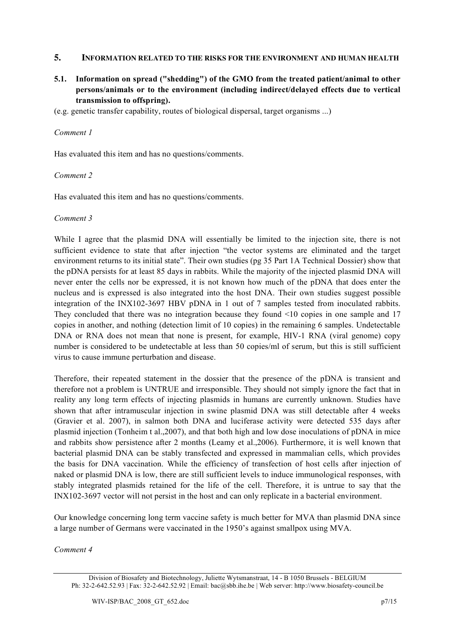## **5. INFORMATION RELATED TO THE RISKS FOR THE ENVIRONMENT AND HUMAN HEALTH**

**5.1. Information on spread ("shedding") of the GMO from the treated patient/animal to other persons/animals or to the environment (including indirect/delayed effects due to vertical transmission to offspring).**

(e.g. genetic transfer capability, routes of biological dispersal, target organisms ...)

#### *Comment 1*

Has evaluated this item and has no questions/comments.

#### *Comment 2*

Has evaluated this item and has no questions/comments.

#### *Comment 3*

While I agree that the plasmid DNA will essentially be limited to the injection site, there is not sufficient evidence to state that after injection "the vector systems are eliminated and the target environment returns to its initial state". Their own studies (pg 35 Part 1A Technical Dossier) show that the pDNA persists for at least 85 days in rabbits. While the majority of the injected plasmid DNA will never enter the cells nor be expressed, it is not known how much of the pDNA that does enter the nucleus and is expressed is also integrated into the host DNA. Their own studies suggest possible integration of the INX102-3697 HBV pDNA in 1 out of 7 samples tested from inoculated rabbits. They concluded that there was no integration because they found <10 copies in one sample and 17 copies in another, and nothing (detection limit of 10 copies) in the remaining 6 samples. Undetectable DNA or RNA does not mean that none is present, for example, HIV-1 RNA (viral genome) copy number is considered to be undetectable at less than 50 copies/ml of serum, but this is still sufficient virus to cause immune perturbation and disease.

Therefore, their repeated statement in the dossier that the presence of the pDNA is transient and therefore not a problem is UNTRUE and irresponsible. They should not simply ignore the fact that in reality any long term effects of injecting plasmids in humans are currently unknown. Studies have shown that after intramuscular injection in swine plasmid DNA was still detectable after 4 weeks (Gravier et al. 2007), in salmon both DNA and luciferase activity were detected 535 days after plasmid injection (Tonheim t al.,2007), and that both high and low dose inoculations of pDNA in mice and rabbits show persistence after 2 months (Leamy et al.,2006). Furthermore, it is well known that bacterial plasmid DNA can be stably transfected and expressed in mammalian cells, which provides the basis for DNA vaccination. While the efficiency of transfection of host cells after injection of naked or plasmid DNA is low, there are still sufficient levels to induce immunological responses, with stably integrated plasmids retained for the life of the cell. Therefore, it is untrue to say that the INX102-3697 vector will not persist in the host and can only replicate in a bacterial environment.

Our knowledge concerning long term vaccine safety is much better for MVA than plasmid DNA since a large number of Germans were vaccinated in the 1950's against smallpox using MVA.

*Comment 4*

Division of Biosafety and Biotechnology, Juliette Wytsmanstraat, 14 - B 1050 Brussels - BELGIUM Ph: 32-2-642.52.93 | Fax: 32-2-642.52.92 | Email: bac@sbb.ihe.be | Web server: http://www.biosafety-council.be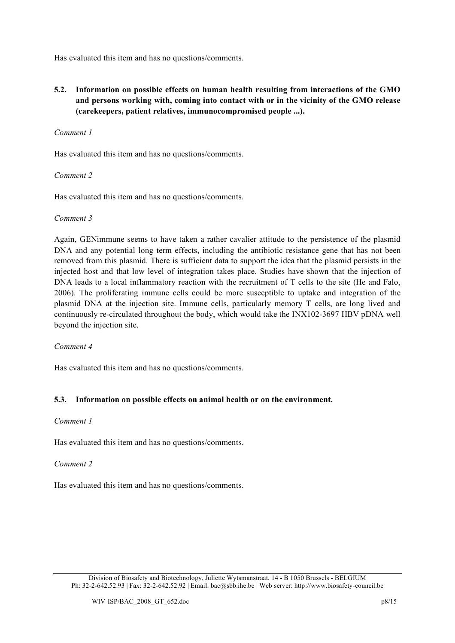Has evaluated this item and has no questions/comments.

**5.2. Information on possible effects on human health resulting from interactions of the GMO and persons working with, coming into contact with or in the vicinity of the GMO release (carekeepers, patient relatives, immunocompromised people ...).**

### *Comment 1*

Has evaluated this item and has no questions/comments.

#### *Comment 2*

Has evaluated this item and has no questions/comments.

#### *Comment 3*

Again, GENimmune seems to have taken a rather cavalier attitude to the persistence of the plasmid DNA and any potential long term effects, including the antibiotic resistance gene that has not been removed from this plasmid. There is sufficient data to support the idea that the plasmid persists in the injected host and that low level of integration takes place. Studies have shown that the injection of DNA leads to a local inflammatory reaction with the recruitment of T cells to the site (He and Falo, 2006). The proliferating immune cells could be more susceptible to uptake and integration of the plasmid DNA at the injection site. Immune cells, particularly memory T cells, are long lived and continuously re-circulated throughout the body, which would take the INX102-3697 HBV pDNA well beyond the injection site.

*Comment 4*

Has evaluated this item and has no questions/comments.

## **5.3. Information on possible effects on animal health or on the environment.**

#### *Comment 1*

Has evaluated this item and has no questions/comments.

## *Comment 2*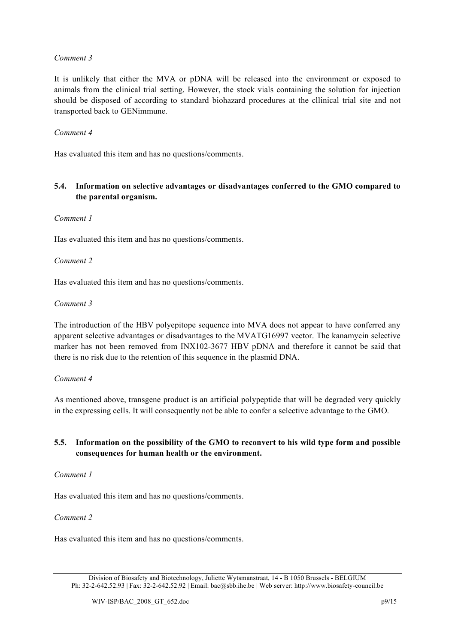It is unlikely that either the MVA or pDNA will be released into the environment or exposed to animals from the clinical trial setting. However, the stock vials containing the solution for injection should be disposed of according to standard biohazard procedures at the cllinical trial site and not transported back to GENimmune.

#### *Comment 4*

Has evaluated this item and has no questions/comments.

### **5.4. Information on selective advantages or disadvantages conferred to the GMO compared to the parental organism.**

#### *Comment 1*

Has evaluated this item and has no questions/comments.

#### *Comment 2*

Has evaluated this item and has no questions/comments.

#### *Comment 3*

The introduction of the HBV polyepitope sequence into MVA does not appear to have conferred any apparent selective advantages or disadvantages to the MVATG16997 vector. The kanamycin selective marker has not been removed from INX102-3677 HBV pDNA and therefore it cannot be said that there is no risk due to the retention of this sequence in the plasmid DNA.

#### *Comment 4*

As mentioned above, transgene product is an artificial polypeptide that will be degraded very quickly in the expressing cells. It will consequently not be able to confer a selective advantage to the GMO.

#### **5.5. Information on the possibility of the GMO to reconvert to his wild type form and possible consequences for human health or the environment.**

#### *Comment 1*

Has evaluated this item and has no questions/comments.

#### *Comment 2*

Division of Biosafety and Biotechnology, Juliette Wytsmanstraat, 14 - B 1050 Brussels - BELGIUM Ph: 32-2-642.52.93 | Fax: 32-2-642.52.92 | Email: bac@sbb.ihe.be | Web server: http://www.biosafety-council.be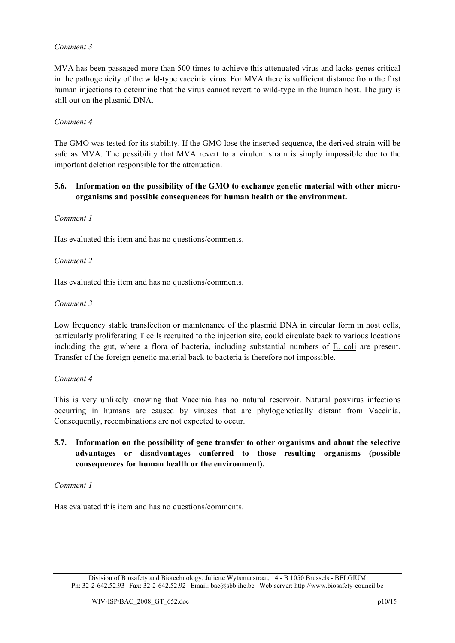MVA has been passaged more than 500 times to achieve this attenuated virus and lacks genes critical in the pathogenicity of the wild-type vaccinia virus. For MVA there is sufficient distance from the first human injections to determine that the virus cannot revert to wild-type in the human host. The jury is still out on the plasmid DNA.

#### *Comment 4*

The GMO was tested for its stability. If the GMO lose the inserted sequence, the derived strain will be safe as MVA. The possibility that MVA revert to a virulent strain is simply impossible due to the important deletion responsible for the attenuation.

#### **5.6. Information on the possibility of the GMO to exchange genetic material with other microorganisms and possible consequences for human health or the environment.**

#### *Comment 1*

Has evaluated this item and has no questions/comments.

#### *Comment 2*

Has evaluated this item and has no questions/comments.

#### *Comment 3*

Low frequency stable transfection or maintenance of the plasmid DNA in circular form in host cells, particularly proliferating T cells recruited to the injection site, could circulate back to various locations including the gut, where a flora of bacteria, including substantial numbers of E. coli are present. Transfer of the foreign genetic material back to bacteria is therefore not impossible.

#### *Comment 4*

This is very unlikely knowing that Vaccinia has no natural reservoir. Natural poxvirus infections occurring in humans are caused by viruses that are phylogenetically distant from Vaccinia. Consequently, recombinations are not expected to occur.

**5.7. Information on the possibility of gene transfer to other organisms and about the selective advantages or disadvantages conferred to those resulting organisms (possible consequences for human health or the environment).**

#### *Comment 1*

Division of Biosafety and Biotechnology, Juliette Wytsmanstraat, 14 - B 1050 Brussels - BELGIUM Ph: 32-2-642.52.93 | Fax: 32-2-642.52.92 | Email: bac@sbb.ihe.be | Web server: http://www.biosafety-council.be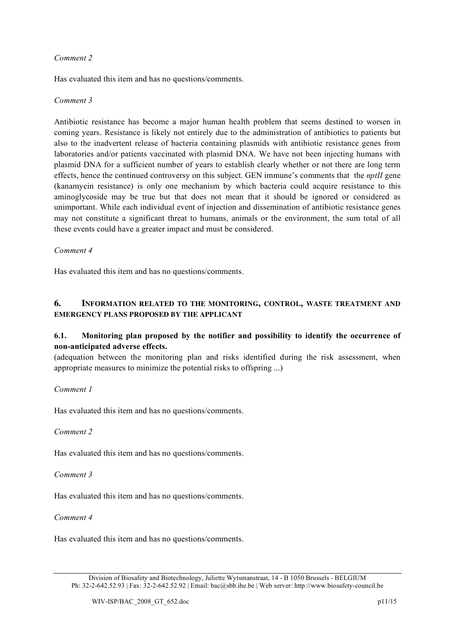Has evaluated this item and has no questions/comments.

#### *Comment 3*

Antibiotic resistance has become a major human health problem that seems destined to worsen in coming years. Resistance is likely not entirely due to the administration of antibiotics to patients but also to the inadvertent release of bacteria containing plasmids with antibiotic resistance genes from laboratories and/or patients vaccinated with plasmid DNA. We have not been injecting humans with plasmid DNA for a sufficient number of years to establish clearly whether or not there are long term effects, hence the continued controversy on this subject. GEN immune's comments that the *nptII* gene (kanamycin resistance) is only one mechanism by which bacteria could acquire resistance to this aminoglycoside may be true but that does not mean that it should be ignored or considered as unimportant. While each individual event of injection and dissemination of antibiotic resistance genes may not constitute a significant threat to humans, animals or the environment, the sum total of all these events could have a greater impact and must be considered.

#### *Comment 4*

Has evaluated this item and has no questions/comments.

# **6. INFORMATION RELATED TO THE MONITORING, CONTROL, WASTE TREATMENT AND EMERGENCY PLANS PROPOSED BY THE APPLICANT**

## **6.1. Monitoring plan proposed by the notifier and possibility to identify the occurrence of non-anticipated adverse effects.**

(adequation between the monitoring plan and risks identified during the risk assessment, when appropriate measures to minimize the potential risks to offspring ...)

#### *Comment 1*

Has evaluated this item and has no questions/comments.

#### *Comment 2*

Has evaluated this item and has no questions/comments.

*Comment 3*

Has evaluated this item and has no questions/comments.

#### *Comment 4*

Division of Biosafety and Biotechnology, Juliette Wytsmanstraat, 14 - B 1050 Brussels - BELGIUM Ph: 32-2-642.52.93 | Fax: 32-2-642.52.92 | Email: bac@sbb.ihe.be | Web server: http://www.biosafety-council.be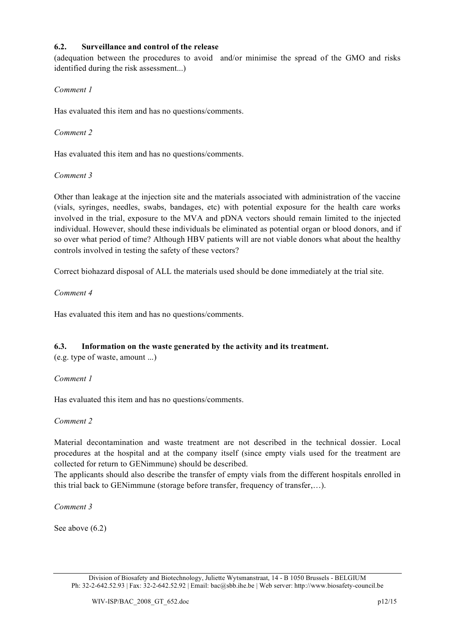### **6.2. Surveillance and control of the release**

(adequation between the procedures to avoid and/or minimise the spread of the GMO and risks identified during the risk assessment...)

#### *Comment 1*

Has evaluated this item and has no questions/comments.

### *Comment 2*

Has evaluated this item and has no questions/comments.

#### *Comment 3*

Other than leakage at the injection site and the materials associated with administration of the vaccine (vials, syringes, needles, swabs, bandages, etc) with potential exposure for the health care works involved in the trial, exposure to the MVA and pDNA vectors should remain limited to the injected individual. However, should these individuals be eliminated as potential organ or blood donors, and if so over what period of time? Although HBV patients will are not viable donors what about the healthy controls involved in testing the safety of these vectors?

Correct biohazard disposal of ALL the materials used should be done immediately at the trial site.

## *Comment 4*

Has evaluated this item and has no questions/comments.

## **6.3. Information on the waste generated by the activity and its treatment.**

(e.g. type of waste, amount ...)

## *Comment 1*

Has evaluated this item and has no questions/comments.

#### *Comment 2*

Material decontamination and waste treatment are not described in the technical dossier. Local procedures at the hospital and at the company itself (since empty vials used for the treatment are collected for return to GENimmune) should be described.

The applicants should also describe the transfer of empty vials from the different hospitals enrolled in this trial back to GENimmune (storage before transfer, frequency of transfer,…).

*Comment 3*

See above (6.2)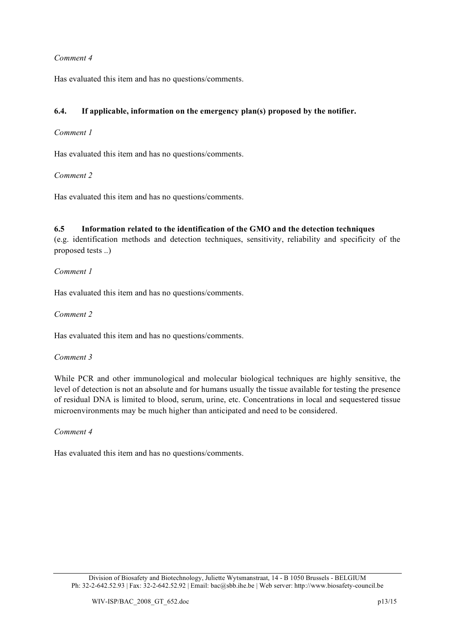Has evaluated this item and has no questions/comments.

## **6.4. If applicable, information on the emergency plan(s) proposed by the notifier.**

#### *Comment 1*

Has evaluated this item and has no questions/comments.

#### *Comment 2*

Has evaluated this item and has no questions/comments.

#### **6.5 Information related to the identification of the GMO and the detection techniques**

(e.g. identification methods and detection techniques, sensitivity, reliability and specificity of the proposed tests ..)

#### *Comment 1*

Has evaluated this item and has no questions/comments.

*Comment 2*

Has evaluated this item and has no questions/comments.

#### *Comment 3*

While PCR and other immunological and molecular biological techniques are highly sensitive, the level of detection is not an absolute and for humans usually the tissue available for testing the presence of residual DNA is limited to blood, serum, urine, etc. Concentrations in local and sequestered tissue microenvironments may be much higher than anticipated and need to be considered.

#### *Comment 4*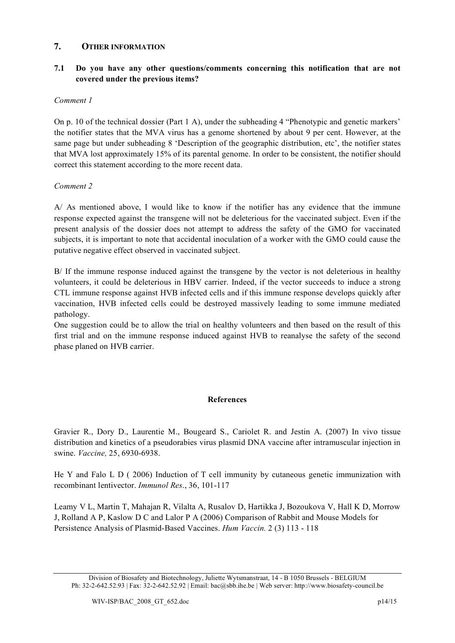## **7. OTHER INFORMATION**

## **7.1 Do you have any other questions/comments concerning this notification that are not covered under the previous items?**

#### *Comment 1*

On p. 10 of the technical dossier (Part 1 A), under the subheading 4 "Phenotypic and genetic markers' the notifier states that the MVA virus has a genome shortened by about 9 per cent. However, at the same page but under subheading 8 'Description of the geographic distribution, etc', the notifier states that MVA lost approximately 15% of its parental genome. In order to be consistent, the notifier should correct this statement according to the more recent data.

#### *Comment 2*

A/ As mentioned above, I would like to know if the notifier has any evidence that the immune response expected against the transgene will not be deleterious for the vaccinated subject. Even if the present analysis of the dossier does not attempt to address the safety of the GMO for vaccinated subjects, it is important to note that accidental inoculation of a worker with the GMO could cause the putative negative effect observed in vaccinated subject.

B/ If the immune response induced against the transgene by the vector is not deleterious in healthy volunteers, it could be deleterious in HBV carrier. Indeed, if the vector succeeds to induce a strong CTL immune response against HVB infected cells and if this immune response develops quickly after vaccination, HVB infected cells could be destroyed massively leading to some immune mediated pathology.

One suggestion could be to allow the trial on healthy volunteers and then based on the result of this first trial and on the immune response induced against HVB to reanalyse the safety of the second phase planed on HVB carrier.

## **References**

Gravier R., Dory D., Laurentie M., Bougeard S., Cariolet R. and Jestin A. (2007) In vivo tissue distribution and kinetics of a pseudorabies virus plasmid DNA vaccine after intramuscular injection in swine. *Vaccine,* 25, 6930-6938.

He Y and Falo L D ( 2006) Induction of T cell immunity by cutaneous genetic immunization with recombinant lentivector. *Immunol Res*., 36, 101-117

Leamy V L, Martin T, Mahajan R, Vilalta A, Rusalov D, Hartikka J, Bozoukova V, Hall K D, Morrow J, Rolland A P, Kaslow D C and Lalor P A (2006) Comparison of Rabbit and Mouse Models for Persistence Analysis of Plasmid-Based Vaccines. *Hum Vaccin.* 2 (3) 113 - 118

Division of Biosafety and Biotechnology, Juliette Wytsmanstraat, 14 - B 1050 Brussels - BELGIUM Ph: 32-2-642.52.93 | Fax: 32-2-642.52.92 | Email: bac@sbb.ihe.be | Web server: http://www.biosafety-council.be